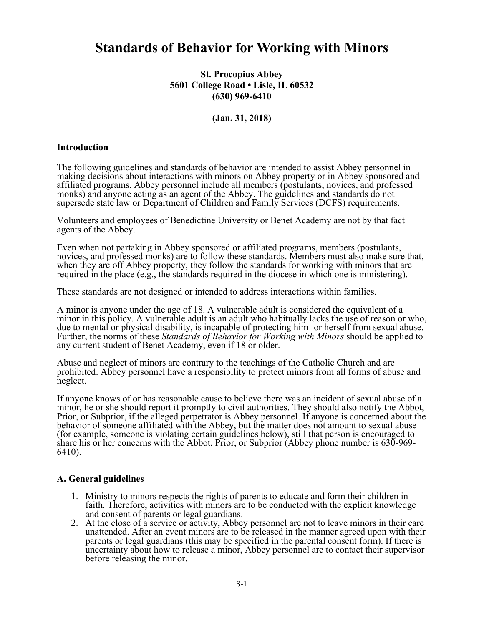# **Standards of Behavior for Working with Minors**

## **St. Procopius Abbey 5601 College Road • Lisle, IL 60532 (630) 969-6410**

### **(Jan. 31, 2018)**

#### **Introduction**

The following guidelines and standards of behavior are intended to assist Abbey personnel in making decisions about interactions with minors on Abbey property or in Abbey sponsored and affiliated programs. Abbey personnel include all members (postulants, novices, and professed monks) and anyone acting as an agent of the Abbey. The guidelines and standards do not supersede state law or Department of Children and Family Services (DCFS) requirements.

Volunteers and employees of Benedictine University or Benet Academy are not by that fact agents of the Abbey.

Even when not partaking in Abbey sponsored or affiliated programs, members (postulants, novices, and professed monks) are to follow these standards. Members must also make sure that, when they are off Abbey property, they follow the standards for working with minors that are required in the place (e.g., the standards required in the diocese in which one is ministering).

These standards are not designed or intended to address interactions within families.

A minor is anyone under the age of 18. A vulnerable adult is considered the equivalent of a minor in this policy. A vulnerable adult is an adult who habitually lacks the use of reason or who, due to mental or physical disability, is incapable of protecting him- or herself from sexual abuse. Further, the norms of these *Standards of Behavior for Working with Minors* should be applied to any current student of Benet Academy, even if 18 or older.

Abuse and neglect of minors are contrary to the teachings of the Catholic Church and are prohibited. Abbey personnel have a responsibility to protect minors from all forms of abuse and neglect.

If anyone knows of or has reasonable cause to believe there was an incident of sexual abuse of a minor, he or she should report it promptly to civil authorities. They should also notify the Abbot, Prior, or Subprior, if the alleged perpetrator is Abbey personnel. If anyone is concerned about the behavior of someone affiliated with the Abbey, but the matter does not amount to sexual abuse (for example, someone is violating certain guidelines below), still that person is encouraged to share his or her concerns with the Abbot, Prior, or Subprior (Abbey phone number is 630-969-6410).

#### **A. General guidelines**

- 1. Ministry to minors respects the rights of parents to educate and form their children in faith. Therefore, activities with minors are to be conducted with the explicit knowledge and consent of parents or legal guardians.
- 2. At the close of a service or activity, Abbey personnel are not to leave minors in their care unattended. After an event minors are to be released in the manner agreed upon with their parents or legal guardians (this may be specified in the parental consent form). If there is uncertainty about how to release a minor, Abbey personnel are to contact their supervisor before releasing the minor.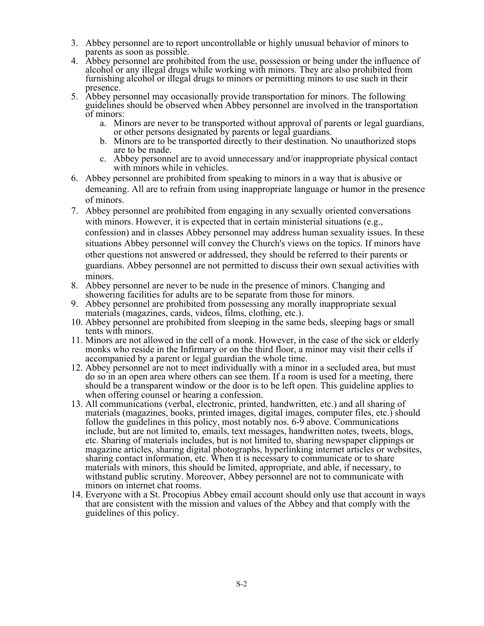- 3. Abbey personnel are to report uncontrollable or highly unusual behavior of minors to parents as soon as possible.
- 4. Abbey personnel are prohibited from the use, possession or being under the influence of alcohol or any illegal drugs while working with minors. They are also prohibited from furnishing alcohol or illegal drugs to minors or permitting minors to use such in their presence.
- 5. Abbey personnel may occasionally provide transportation for minors. The following guidelines should be observed when Abbey personnel are involved in the transportation of minors:
	- a. Minors are never to be transported without approval of parents or legal guardians, or other persons designated by parents or legal guardians.
	- b. Minors are to be transported directly to their destination. No unauthorized stops are to be made.
	- c. Abbey personnel are to avoid unnecessary and/or inappropriate physical contact with minors while in vehicles.
- 6. Abbey personnel are prohibited from speaking to minors in a way that is abusive or demeaning. All are to refrain from using inappropriate language or humor in the presence of minors.
- 7. Abbey personnel are prohibited from engaging in any sexually oriented conversations with minors. However, it is expected that in certain ministerial situations (e.g., confession) and in classes Abbey personnel may address human sexuality issues. In these situations Abbey personnel will convey the Church's views on the topics. If minors have other questions not answered or addressed, they should be referred to their parents or guardians. Abbey personnel are not permitted to discuss their own sexual activities with minors.
- 8. Abbey personnel are never to be nude in the presence of minors. Changing and showering facilities for adults are to be separate from those for minors.
- 9. Abbey personnel are prohibited from possessing any morally inappropriate sexual
- 10. Abbey personnel are prohibited from sleeping in the same beds, sleeping bags or small tents with minors.
- 11. Minors are not allowed in the cell of a monk. However, in the case of the sick or elderly monks who reside in the Infirmary or on the third floor, a minor may visit their cells if accompanied by a parent or legal guardian the whole time.
- 12. Abbey personnel are not to meet individually with a minor in a secluded area, but must do so in an open area where others can see them. If a room is used for a meeting, there should be a transparent window or the door is to be left open. This guideline applies to when offering counsel or hearing a confession.
- 13. All communications (verbal, electronic, printed, handwritten, etc.) and all sharing of materials (magazines, books, printed images, digital images, computer files, etc.) should follow the guidelines in this policy, most notably nos. 6-9 above. Communications include, but are not limited to, emails, text messages, handwritten notes, tweets, blogs, etc. Sharing of materials includes, but is not limited to, sharing newspaper clippings or magazine articles, sharing digital photographs, hyperlinking internet articles or websites, sharing contact information, etc. When it is necessary to communicate or to share materials with minors, this should be limited, appropriate, and able, if necessary, to withstand public scrutiny. Moreover, Abbey personnel are not to communicate with minors on internet chat rooms.
- 14. Everyone with a St. Procopius Abbey email account should only use that account in ways that are consistent with the mission and values of the Abbey and that comply with the guidelines of this policy.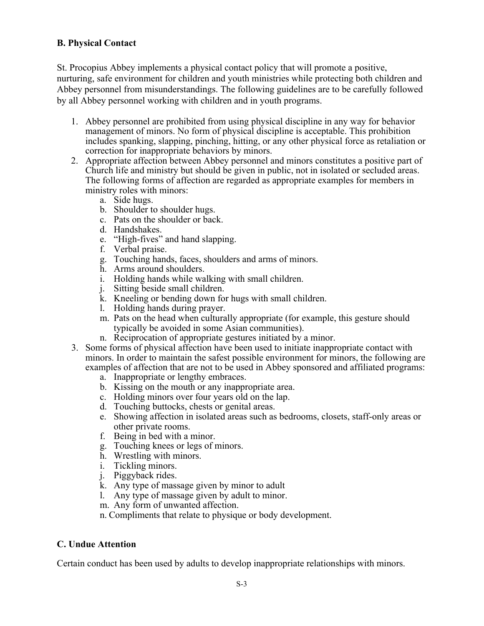# **B. Physical Contact**

St. Procopius Abbey implements a physical contact policy that will promote a positive, nurturing, safe environment for children and youth ministries while protecting both children and Abbey personnel from misunderstandings. The following guidelines are to be carefully followed by all Abbey personnel working with children and in youth programs.

- 1. Abbey personnel are prohibited from using physical discipline in any way for behavior management of minors. No form of physical discipline is acceptable. This prohibition includes spanking, slapping, pinching, hitting, or any other physical force as retaliation or correction for inappropriate behaviors by minors.
- 2. Appropriate affection between Abbey personnel and minors constitutes a positive part of Church life and ministry but should be given in public, not in isolated or secluded areas. The following forms of affection are regarded as appropriate examples for members in ministry roles with minors:
	- a. Side hugs.
	- b. Shoulder to shoulder hugs.
	- c. Pats on the shoulder or back.
	- d. Handshakes.
	- e. "High-fives" and hand slapping.
	- f. Verbal praise.
	- g. Touching hands, faces, shoulders and arms of minors.
	- h. Arms around shoulders.
	- i. Holding hands while walking with small children.
	- j. Sitting beside small children.
	- k. Kneeling or bending down for hugs with small children.
	- l. Holding hands during prayer.
	- m. Pats on the head when culturally appropriate (for example, this gesture should typically be avoided in some Asian communities).
	- n. Reciprocation of appropriate gestures initiated by a minor.
- 3. Some forms of physical affection have been used to initiate inappropriate contact with minors. In order to maintain the safest possible environment for minors, the following are examples of affection that are not to be used in Abbey sponsored and affiliated programs:
	- a. Inappropriate or lengthy embraces.
	- b. Kissing on the mouth or any inappropriate area.
	- c. Holding minors over four years old on the lap.
	- d. Touching buttocks, chests or genital areas.
	- e. Showing affection in isolated areas such as bedrooms, closets, staff-only areas or other private rooms.
	- f. Being in bed with a minor.
	- g. Touching knees or legs of minors.
	- h. Wrestling with minors.
	- i. Tickling minors.
	- j. Piggyback rides.
	- k. Any type of massage given by minor to adult
	- l. Any type of massage given by adult to minor.
	- m. Any form of unwanted affection.
	- n. Compliments that relate to physique or body development.

## **C. Undue Attention**

Certain conduct has been used by adults to develop inappropriate relationships with minors.